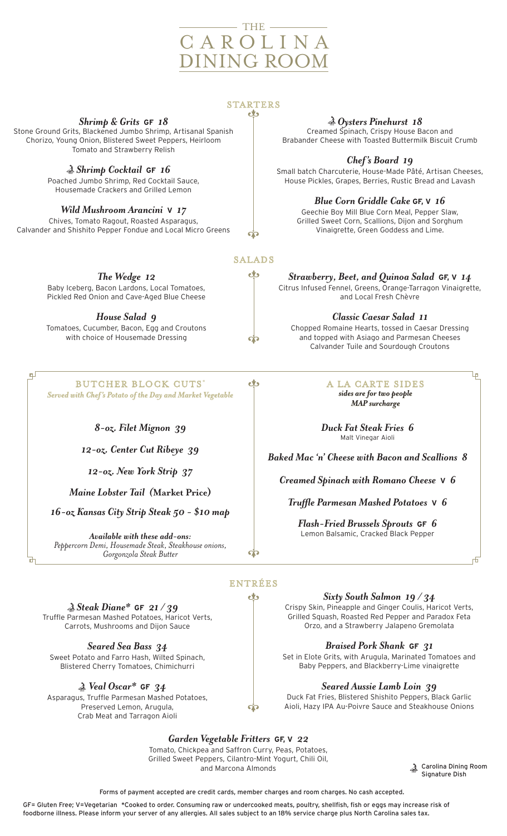# THE C A R O L I N A DINING ROOM

#### **STARTERS** ಲು

*Shrimp & Grits* **GF** *18*

Stone Ground Grits, Blackened Jumbo Shrimp, Artisanal Spanish Chorizo, Young Onion, Blistered Sweet Peppers, Heirloom Tomato and Strawberry Relish

*Shrimp Cocktail* **GF** *16*

Poached Jumbo Shrimp, Red Cocktail Sauce, Housemade Crackers and Grilled Lemon

### *Wild Mushroom Arancini* **V** *17*

Chives, Tomato Ragout, Roasted Asparagus, Calvander and Shishito Pepper Fondue and Local Micro Greens

*The Wedge 12*

Baby Iceberg, Bacon Lardons, Local Tomatoes, Pickled Red Onion and Cave-Aged Blue Cheese

*House Salad 9*

Tomatoes, Cucumber, Bacon, Egg and Croutons with choice of Housemade Dressing

фJ

BUTCHER BLOCK CUTS\* *Served with Chef's Potato of the Day and Market Vegetable*

*8-oz. Filet Mignon 39*

*12-oz. Center Cut Ribeye 39*

*12-oz. New York Strip 37*

*Maine Lobster Tail (***Market Price)**

*16-oz Kansas City Strip Steak 50 - \$10 map*

*Available with these add-ons: Peppercorn Demi, Housemade Steak, Steakhouse onions, Gorgonzola Steak Butter*

*Oysters Pinehurst 18* 

Creamed Spinach, Crispy House Bacon and Brabander Cheese with Toasted Buttermilk Biscuit Crumb

*Chef's Board 19*

Small batch Charcuterie, House-Made Pâté, Artisan Cheeses, House Pickles, Grapes, Berries, Rustic Bread and Lavash

*Blue Corn Griddle Cake* **GF, V** *16*

Geechie Boy Mill Blue Corn Meal, Pepper Slaw, Grilled Sweet Corn, Scallions, Dijon and Sorghum Vinaigrette, Green Goddess and Lime.

**SALADS** ಶು

**ं** 

eÌs

*Strawberry, Beet, and Quinoa Salad* **GF, V** *14* Citrus Infused Fennel, Greens, Orange-Tarragon Vinaigrette, and Local Fresh Chèvre

*Classic Caesar Salad 11* Chopped Romaine Hearts, tossed in Caesar Dressing and topped with Asiago and Parmesan Cheeses Calvander Tuile and Sourdough Croutons

> A LA CARTE SIDES *sides are for two people MAP surcharge*

Ļρ

Æ

*Duck Fat Steak Fries 6* Malt Vinegar Aioli

*Baked Mac 'n' Cheese with Bacon and Scallions 8*

*Creamed Spinach with Romano Cheese* **V** *6*

*Truffle Parmesan Mashed Potatoes* **V** *6*

*Flash-Fried Brussels Sprouts* **GF** *6*  Lemon Balsamic, Cracked Black Pepper

### ENTRÉES eks

*Steak Diane\** **GF** *21 / 39* Truffle Parmesan Mashed Potatoes, Haricot Verts, Carrots, Mushrooms and Dijon Sauce

*Seared Sea Bass 34* Sweet Potato and Farro Hash, Wilted Spinach, Blistered Cherry Tomatoes, Chimichurri

*Veal Oscar\** **GF** *34* Asparagus, Truffle Parmesan Mashed Potatoes, Preserved Lemon, Arugula, Crab Meat and Tarragon Aioli

*Sixty South Salmon**19 / 34*

Crispy Skin, Pineapple and Ginger Coulis, Haricot Verts, Grilled Squash, Roasted Red Pepper and Paradox Feta Orzo, and a Strawberry Jalapeno Gremolata

*Braised Pork Shank* **GF** *31*

Set in Elote Grits, with Arugula, Marinated Tomatoes and Baby Peppers, and Blackberry-Lime vinaigrette

*Seared Aussie Lamb Loin 39*

Duck Fat Fries, Blistered Shishito Peppers, Black Garlic Aioli, Hazy IPA Au-Poivre Sauce and Steakhouse Onions

*Garden Vegetable Fritters* **GF, V** *22*

Tomato, Chickpea and Saffron Curry, Peas, Potatoes, Grilled Sweet Peppers, Cilantro-Mint Yogurt, Chili Oil, and Marcona Almonds Carolina Dining Room

Signature Dish

Forms of payment accepted are credit cards, member charges and room charges. No cash accepted.

GF= Gluten Free; V=Vegetarian \*Cooked to order. Consuming raw or undercooked meats, poultry, shellfish, fish or eggs may increase risk of foodborne illness. Please inform your server of any allergies. All sales subject to an 18% service charge plus North Carolina sales tax.

ф